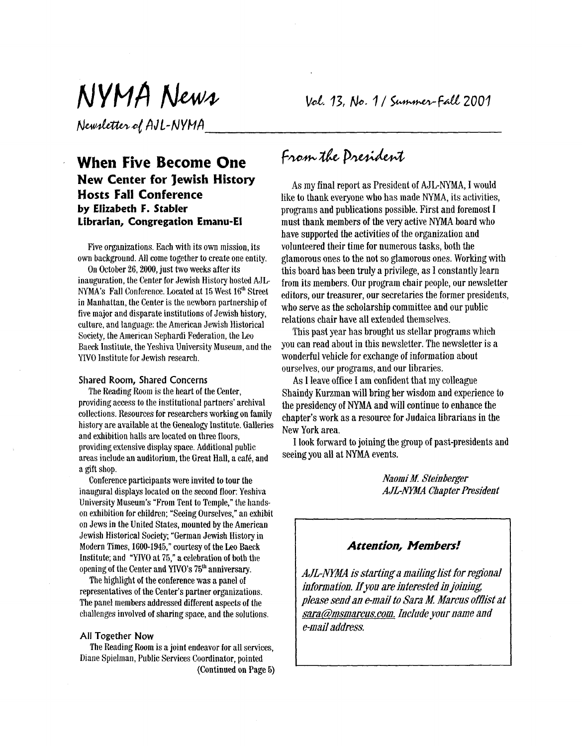# NYMA News

Newsletter of AJL-NYMA

# **When Five Become One New Center for Jewish History Hosts Fall Conference by Elizabeth F. Stabler Librarian, Congregation Emanu-El**

Five organizations. Each with its own mission, its own background. All come together to create one entity.

On October **26,2000,** just two weeks after its inauguration, the Center for Jewish History hosted AJL NYMA's Fall Conference. Located at 15 West **16th** Street in Manhattan, the Center is the newborn partnership of five major and disparate institutions of Jewish history, culture, and language: the American Jewish Historical Society, the American Sephardi Federation, the Leo Baeck Institute, the Yeshiva University Museum, and the YIVO Institute for Jewish research.

#### Shared **Room,** Shared Concerns

providing access to the institutional partners' archival collections. Resources for researchers working on family history are available at the Genealogy Institute. Galleries and exhibition halls are located on three floors, providing extensive display space. Additional public areas include an auditorium, the Great Hall, a café, and a gift shop. The Reading Room is the heart of the Center,

Conference participants were invited to tour the inaugural displays located on the second floor: Yeshiva University Museum's "From Tent to Temple," the handson exhibition **for** children; "Seeing Ourselves," an exhibit on Jews in the United States, mounted by the American Jewish Historical Society; "German Jewish History in Modern Times, 1600-1945," courtesy of the Leo Baeck Institute; and "YIVO at 75," a celebration of both the opening of the Center and YIVO's 75<sup>th</sup> anniversary.

The highlight of the conference was a panel **of**  representatives **of** the Center's partner organizations. The panel members addressed different aspects **of** the challenges involved of sharing space, and the solutions.

#### All Together Now

Diane Spielman, Public Services Coordinator, pointed The Reading Room is **a** joint endeavor **for** all services, (Continued **on** Page 5) Vol. 13, No. 1 / Summer-Fall 2001

# From the Dresident

As my final report as President of AJL-NYMA, I would like to thank everyone who has made NYMA, its activities, programs and publications possible. First and foremost **I**  must thank members of the very active NYMA board who have supported the activities of the organization and volunteered their time **for** numerous tasks, both the glamorous ones to the not so glamorous ones. Working with this board has been truly a privilege, as I constantly learn from its members. Our program chair people, our newsletter editors, our treasurer, our secretaries the former presidents, who serve as the scholarship committee and our public relations chair have all extended themselves.

This past year has brought us stellar programs which yon can read about in this newsletter. The newsletter is a wonderful vehicle for exchange of information about ourselves, our programs, and our libraries.

**As** I leave office **I** am confident that my colleague Shaindy Kurzman will bring her wisdom and experience to the presidency **of** "MA and will continue *to* enhance the chapter's work as a resource **for** Judaica librarians in the New York area.

seeing you all at NYMA events. **I** look forward to joining the group **of** past-presidents and

> *Naomi M Steinberger AJLm Chapter President*

# *Attention, Members!*

*AJL-NYMA is starting a mailing list for regional information. If you are interested in joining please send an e-mail to Sara M. Marcus offlist at sara@nsmarcus.com. Include your name and e-mail address.*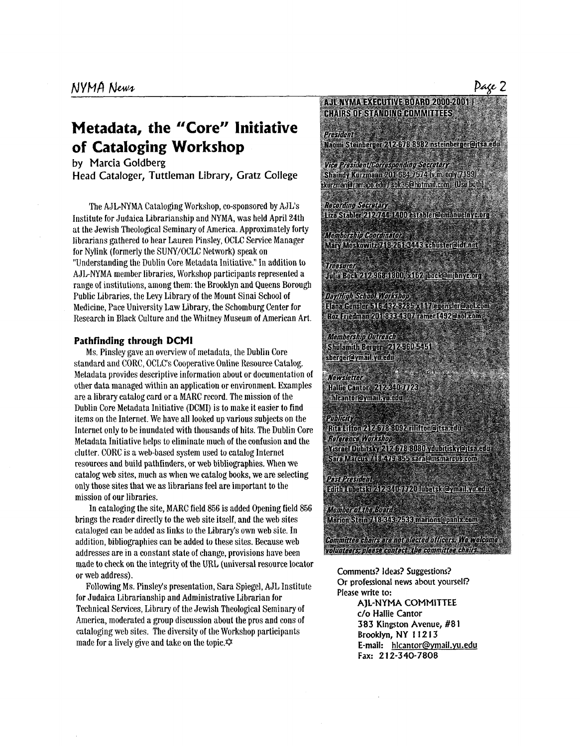# **Metadata, the "Core" Initiative of Cataloging Workshop**

by Marcia Goldberg

Head Cataloger, Tuttleman Library, Gratz College

The AJL-NYMA Cataloging Workshop, co-sponsored by AJL's Institute for Judaica Librarianship and NYMA, was held April 24th at the Jewish Theological Seminary of America. Approximately forty librarians gathered to hear Lauren Pinsley, OCLC Service Manager for Nylink (formerly the SUNY/OCLC Network) speak on "Understanding the Dublin Core Metadata Initiative." In addition to AJLNYMA member libraries, Workshop participants represented a range of institutions, among them: the Brooklyn and Queens Borough Public Libraries, the Levy Library of the Mount Sinai School **of**  Medicine, Pace University Law Library, the Schomburg Center for Research in Black Culture and the Whitney Museum of American Art.

#### **Pathfinding through DCMI**

Ms. Pinsley gave an overview of metadata, the Dublin Core standard and CORC, OCLC's Cooperative Online Resource Catalog. Metadata provides descriptive information about or documentation of other data managed within an application or environment. Examples are a library catalog card or a MARC record. The mission of the Dublin Core Metadata Initiative (DCMI) is to make it easier to find items on the Internet. We have all looked up various subjects on the Internet only to be inundated with thousands of hits. The Dublin Core Metadata Initiative helps to eliminate much of the confusion and the clutter. CORC is a web-based system used to catalog Internet resources and build pathfinders, or web bibliographies. When we catalog web sites, much as when we catalog books, we are selecting only those sites that we as librarians feel are important to the mission **of** our libraries.

brings the reader directly to the web site itself, and the web sites cataloged can be added as links to the Library's own web site. In addition, bibliographies can be added to these sites. Because web addresses are in a constant state of change, provisions have been made to check on the integrity of the URL (universal resource locator or web address). In cataloging the site, MARC field 856 is added Opening field 856

Following Ms. Pinsley's presentation, Sara Spiegel, AJL Institute for Judaica Librarianship and Administrative Librarian **for**  Technical Services, Library of the Jewish Theological Seminary of America, moderated a group discussion about the pros and cons of cataloging web sites. The diversity of the Workshop participants made for a lively give and take on the topic. $\hat{\varphi}$ 

#### AJL-NYMA EXECUTIVE BOARD 2000-2001 | **CHAIRS OF STANDING COMMITTEES**

President Naomi Steinberger 2124578-8982 nsteinberger@itsa.edu

Vice Prosident/Porresponding Secretary Shaindy Kurzmann 2013634-7574 (v.m. ody 7199) skurzmanQramapozado (sok36@hofmail.com (Use both) = **Recording Secretary** 

Liza Stabler 212-744-1400 - astabler@emanuelnyc.org

.<br>Membarship koorilingtor see Mary Moskowitz 7 18-261 SIMS schuster@himei

**Treasurer®** anita Boek 24 24 FreeBOD 34 62 incek@minavegua

Devillight School Workshop Elana Gensler O (548)231285 x 1 17 exensier@anksom Roz Friedman 20148884807 ramer 1492@aol.com

Membership Outreach Shulamith Berger 212-960-5451 sberger@ymail.yu.edu

**Newsletter** Hallie Cantor 212-340-7723 hleantor@ymail.yu.edu

e e de

Publicity

Rita Lifton 2 2 678 8092 rilifton@itsa.edu Reference Workshop. Yrseel Duntsky 212676 8080 yount is nonceasin Sara Marcus 71 HAV Paths sara@msmareus.com

Pastekresideni: Entity Library 7:25 2340 9720. Mtris Aleymail yuvenin

Member of the Board Marion Stein 7483743 2538 marions@panix.com

Committee chairs are not also ted officers. We welcon volunteers aleese contect: the committee chairs

Comments? Ideas? Suggestions? **Or** professional news about yourself? Please write to:

> AIL-NYMA COMMITTEE *c/o* Hallie Cantor **383** Kingston Avenue, **#81**  Brooklyn, NY 1 **1 2 1 3**  E-mail: hlcantor@ymail.yu.edu Fax: *2* **12-340-7808**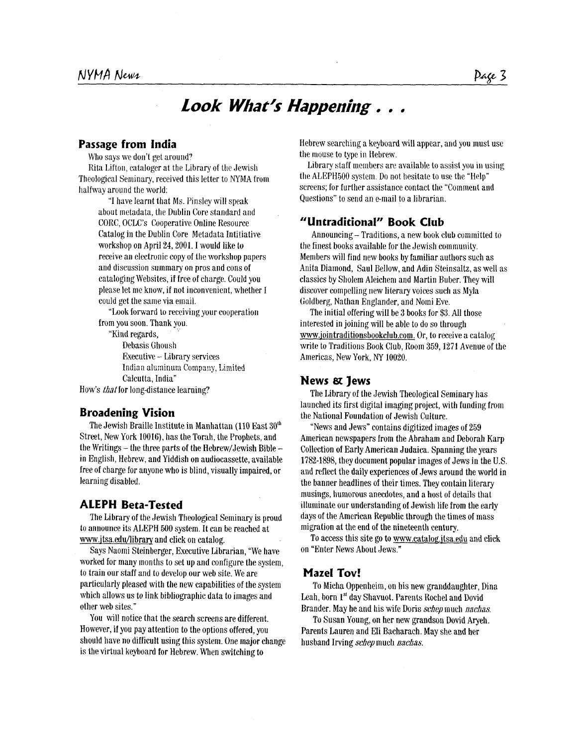# *Look What's Happening . . .*

# **Passage from India**

Who says we don't get around?

Rita Lifton, cataloger at the Library of the Jewish Theological Seminary, received this letter to **NYMA** froni halfway around the world:

> "I have learnt that Ms. Pinsley will speak about metadata, the Dublin Core standard and CORC, OCLC's Cooperative Online Resource Catalog in the Dublin Core Metadata Intitiative workshop on April 24,2001. I would like to receive an electronic copy of the workshop papers and discussion summary on pros and cons of cataloging Websites, if free of charge. Could you please let me know, if not inconvenient, whether I could gct the same via email.

"Look forward to receiving your cooperation from you soon. Thank you.

"Kind regards, Debasis Ghoush Executive - Library services Calcutta, India" Indian aluminum Company, Limited

How's *that* for long-distance learning?

# **Broadening Vision**

The Jewish Braille Institute in Manhattan (110 East **30"'**  Street, New York 10016), has the Torah, the Prophets, and the Writings  $-$  the three parts of the Hebrew/Jewish Bible  $$ in English, Hebrew, and Yiddish on audiocassette, available free of charge for anyone who is blind, visually impaired, or learning disabled.

# **ALEPH Beta-Tested**

The Library **of** the Jewish Theological Seminary is proud to announce its ALEPH 500 system. It can be reached at www.itsa.edu/library and click on catalog.

Says Naomi Steinberger, Executive Librarian, "We have worked for many months to set up and configure the system, to train our staff and to develop our web site. We are particularly pleased with the new capabilities of the system which allows us to link bibliographic data to images and other web sites."

You will notice that the search screens are different. However, if you pay attention to the options offered, you should have no difficult using this system. One major change is the virtual keyboard for Hebrew. When switching to

Hebrew searching a keyboard \vi11 appear, and you must use the mouse to type in Hebrew.

Library staff members are available to assist you in using the ALEPH500 system. Do not hesitate to use the "Help" screens; for further assistance contact the "Comment and Questions" to send an e-mail to a librarian.

#### **"Untraditional" Book Club**

Announcing- Traditions, a new book club committed to the finest books available for the Jewish community. Members will find new books by familiar authors such as Anita Diamond, Saul Bellow, and Adin Steinsaltz, as well as classics by Sholem Aleichem and Martin Buber. They will discover compelling new literary voices such as Myla Goldberg, Nathan Englander, and Nomi Eve.

The initial offering will be **3** books for \$3. All those interested in joining will be able to do so through **www.iointraditionsbookclub.com.** Or, to receive a catalog write to Traditions Book Club, Room 359,1271 Avenue of the Americas, New York, *NY* 10020.

# **News Jews**

The Library of the Jewish Theological Seminary has launched its first digital imaging project, with funding from the National Foundation of Jewish Culture.

"News and Jews" contains digitized images of 259 American newspapers from the Abraham and Deborah Karp Collection **of** Early American Judaica. Spanning the years 1782-1898, they document popular images of Jews in the U.S. and reflect the daily experiences **of** Jews around the world in the banner headlincs of their times. They contain literary musings, humorous anecdotes, and a host of details that illuminate our understanding of Jewish life from the early days of the American Republic through the times **of** mass migration at the end of the nineteenth century.

on "Enter News About Jews." To access this site go to www.catalog.jtsa.edu and click

# **Maze1 Tov!**

Leah, born **1''** day Shavuot. Parents Roche1 and Dovid Brander. May he and his wife Doris *schep* much *nachas.*  To Micha Oppenheim, on his new granddaughter, Dina

To Susan Young, on her new grandson Dovid Aryeh. Parents Lauren and Eli Bacharach. May she and her husband Irving schepmuch *nachas.*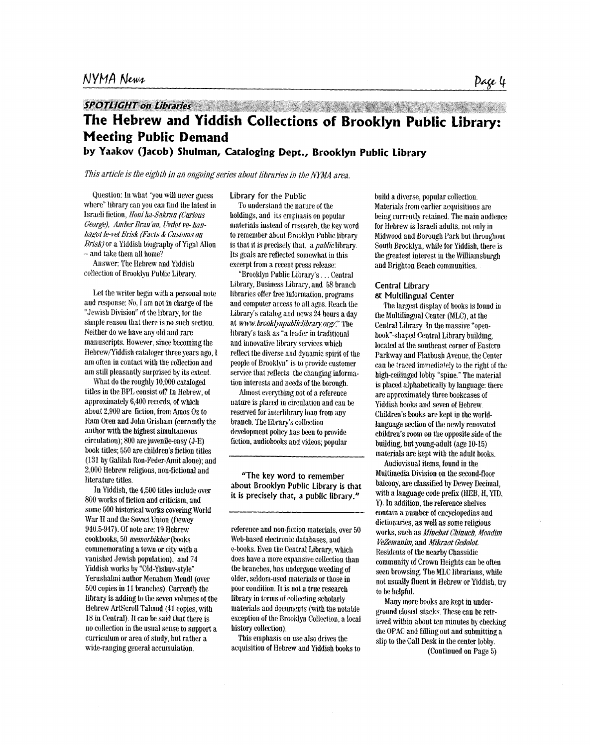# **The Hebrew and Yiddish Collections of Brooklyn Public Library: Meeting Public Demand**

**by Yaakov (Jacob) Shulman, Cataloging Dept., Brooklyn Public Library** 

*This article is the eighth in an ongoing series about libraries in the NYMA area.* 

Question: In what "you will never guess where" library can you can find the latest in Israeli fiction, *Honiha-S&an (Curious George), Amber Brau hi, Livdot ve- hahagot le-vet Brisk (Facts* & *Customs on Brisk)* or a Yiddish biography of Yigal Allon - and take them all home?

Answer: The Hebrew and Yiddish collection of Brooklyn Public Library.

Let the writer **begin** with a personal note and response: No, I am not in charge of the "Jewish Divisiou" of the library, for the simple reason that there is no such section. Neither do we have any old and rare manuscripts. However, since becoming the Hebrew/Yiddish cataloger three years ago, I am often in contact with the collection and am still pleasantly surprised by its extent.

What do the roughly 10,000 cataloged titles **in** the BPL consist of? In Hebrew, **of**  approximately 6,400 records, of which about 2,900 are fiction, from *Amos* Oz to Ram Oren and John Grisham (currently the author with the highest simultaneous circulation); 800 are juvenile-easy (J-E) book titles; 550 are childreu's fiction titles **(131** by Galilah Ron-Feder-Amit alone); and 2,000 Hebrew religions, non-fictional and literature titles.

**Iu** Yiddish, the 4,500 titles include over 800 works of fietion and criticism, and some 500 historical works covering World War **I1** and the Soviet Union (Dewey 940.5-947). Of note are: 19 Hebrew cookbooks, 50 memorbikher (books commemorating a town or city with a vanished Jewish population), and 74 Yiddish works by "Old-Yishuv-style" Yerushalmi author Menahem Mendl (over 500 copies **iu** 11 branches). Currently the library is adding **to** the seven volumes of the Hebrew Artscroll Talmud **(41** copies, with 18 iu Central). It can be said that there is uo collectiou in the usual sense to support a curriculum or area of study, but rather a wide-ranging general accumulation.

#### Library for **the** Public

To understand the nature **of** the holdings, and its emphasis on popular materials iustead **of** research, the key word to remember about Brooklyu Public library is that it is precisely that, a  $public$  library. Its goals are reflected somewhat in this excerpt from a recent press release:

"Brooklyn Public Library's... Central Library, Business Library, and 58 branch libraries offer free information, programs aud computer access to all ages. Reach the Library's catalog and news 24 hours a day at www.brooklynpubliclibrary.org/" The library's task as "a leader in traditional aud innovative library services which reflect the diverse and dyuamic spirit of the people of Brooklyn" is to provide customer service that reflects the changing information interests and needs of the borough.

Almost everything uot of a reference nature is placed **iu** circulation and can be reserved for interlibrary loan from any branch. The library's collection development policy has beeu to provide fictiou, audiobooks and videos; popular

"The key word to remember about Brooklyn Public Library is that it **is** precisely that, a public library."

refcrence and non-fiction materials, over 50 Web-based electronic databases, and e-books. Even the Central Library, which does have a more expansive collection thau the brauches, has undergone weeding of older, seldom-used materials or those in poor condition. It is not a true research library in terms of collecting scholarly materials and documents (with the notable exception **of** the Brooklyn Collection, a local history collection).

This emphasis on use also drives the acquisition of Hebrew and Yiddish books to build a diverse, popular collection. Materials from earlier acquisitions are being currently retained. The main audience for Hebrew is Israeli adults, uot only in Midwood aud Borough Park but throughout South Brooklyu, while for Yiddish, there is the greatest interest **in** the Williamsburgh and Brighton Beach communities.

### Central Library

Multilingual Center

The largest display of books is found **iu**  the Multiliugual Center (MLC), at the Central Library. In the massive "openbook"-shaped Central Library building, located at the southeast corner of Eastern Parkway and Flatbush Avenue, the Center can be traced immediately to the right of the high-ceilinged lobby "spine." The material is placed alphabetically by language: there are approximately three bookcases of Yiddish books and seven of Hebrew. Children's books are kept in the worldlanguage section of the newly renovated childreu's room on the opposite side of the building, but young-adult (age **10-15)**  materials are kept with the adult books.

Audiovisual items, found in the Multimedia Division on the second-floor balcony, are classified **by** Dewey Decimal, with a language code prefix (HEB, H, YID, Y). In addition, the reference shelves contain a number **of** encyclopedias and dictionaries, as well as some religious works, such as *Minehat Chinuch, Moadim Ve2nianiq* **and** *Mikraot GedoIot.*  Residents of the nearby Cbassidic community of Crown Heights can be often seen browsing. The MLC librarians, while not usually fluent **in** Hebrew or Yiddish, try to be helpful.

Many more books are kept **in** underground closed stacks. These can be retrieved within about ten minutes by checking the OPAC and filling out aud submitting a slip to the Call Desk **iu** the center lobby.

(Continued on Page *5)*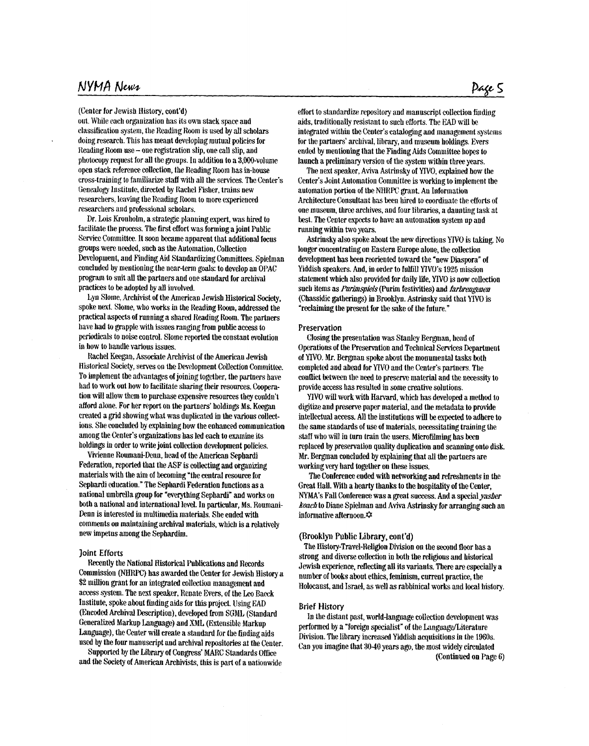# NYMA News

#### (Center for Jewish History, cont'd)

out. While each organization has its own stack space and classification system, the **Iteading Rooin** is used by **all** scholars doing research. This **Iris meant** developing **mutual** policies for Reading Room use - one registration slip, one call slip, and photocopy request for all the groups. In additiou to a 3,000-volume **opeu** stack reference collection, the **Reading Room has h-house**  cross-training to familiarize staff with all the services. The Center's Genealogy Institute, directed by Rachel Fisher, trains new **researchers,** leaving the Reading Room to more experienced **researchers** arid professional scholars.

Dr. Lois Kronholm, a strategic planning expert, was hired to facilitate (tie process. The **first** effort was forriiing a **join1** Public Service Committee. It soon became apparent that additional focus groups were **needed,** such as the **Automation,** Collection Development, and Finding Aid Standardizing Committees. Spielman concluded by mentioning the near-term goals: to develop an OPAC program to suit all the partners and one standard for archival practices to **be** adopted by all involved.

Lyn Slome, Archivist of the American Jewish Historical Society, spoke **uext. Slonie,** who works **in** the **Reading Room,** addressed the practical aspects of running a **shard** Reading **Room.** The partners have had to grapple with issues ranging from public access to periodicals to noise control. Slome reported the constant evolution **h how** to **haudle various** issues.

Rachel **Keegau,** Associate Archivist of **the** American **Jewish**  Historical Society, serves on the Development Collection Committee. To implement the advantages of joining together, the partners have had to work out how to facilitate sharing their resources. Coopera**tion** will allow theni to purchase expensive resources they couldn't afford alone. For her report on the partners' holdings Ms. Keegan created a grid showing what was duplicated in the various collections. She concluded by explaining how the enhanced communication among the Center's organizations bas led each to examine its holdings in order to write joint collection development policies.

**Viieune** Roumani-Dew, **head** of the American Sephardi Federation, reported that the ASF is collecting and organizing materials with the **aim** of beeonling "the central resource for Sephardi education." The Sephardi Federation functions as a national umbrellagroup for 'everything Sephardi" and works on both a national and international level. In particular, Ms. Roumani-Denn is interested in multimedia materials. **She** ended with comments on maintaining archival materials, which is a relatively new **hipetus** among the Sephardini.

#### **Joint Efforts**

Reeenlly the National Historical Publications and Records Commission (NHRPC) has awarded the Center for Jewish History a \$2 million grant for an integrated collection management and access system. The next speaker, Renate Evers, of the Leo Baeck Institute, spoke about **fhtdiug** aids for this project. Using EAD (Encoded Archival Description), developed from SGML (Standard Generalized Markup Language) and XML (Extensible Markup Language)), the Center **will** create a stmdard for the **findhg** aids used by the four manuscript and archival repositories at the Center.

Supported by the Library of Congress' MARC Standards Office and the Society of American Archivists, this is part of a nationwide effort to standardize repository and manuscript collection finding aids, traditionally resistant to such efforts. The EAD will be integrated withiu the Center's cataloging and management systems for the partners' archival, library, and museum holdings. Evers ended by mentioning that the Finding Aids Committee hopes to launch a preliminary version of the **systeni** within three **years.** 

The **next** speaker, Aviva **Astrinsliy** of YWO, explained **how** the Center's Joint Automation Conunittee is **workhg** to implenient the automation portion of the NHRPC grant. Au Information Architecture Consultant has been hired to coordinate the efforts of one museum, three archives, and four libraries, a daunting task at hest. The Center expects to have an automation **systeui** up and running within two years.

longer coucenlratiugou Eastern Europe **aloue,** the collection development has been reoriented toward the "new Diaspora" of Yiddish speakers. And, in order to fulfill YIVO's 1925 mission b&&~uent which also provided for daily life, **YIVO** is now **collection**  such items as *Purimspiels* (Purim festivities) and *farbrengenen* (Chassidic gatherings) in Brooklyn. Astriusky said that **klV0** is 'reclaimiig the present for the sake of the future." **htriusky** also spoke about the new directions **YIVO** is taking. **No** 

#### **Preservation**

Closing the presentation was Stanley **Bergman,** bead of Operations of the Preservation and Technical Services Department of YIVO. **hk.** Bergmau spoke **aborct** the monuniental tasks both completed and ahead for YIVO and the Center's partners. The **couflict** between the need to preserve material and the necessity to provide access has resulted in some creative solutions.

**WO** niu work **with Hanasd,** which has developed a method **to**  digitize and preserve paper material, and the metadata to provide intellectual access. *AU* the institutions **will** be expcted to adhere to the same standards of use of materials, necessitating training the **staff who** niill in **turn train** the users. Microfilming has **been**  replaced by preservation quality duplication and scanning onto disk. Mr. Bergman concluded by explaining that all the partners are working very hard together on these issues.

The Conference ended with networking and refreshmeuts in the Great Hall. With a hearty **thanlis to** the hospitality of the Center, **"AWs** Fall Conference was a *great* success. **Aud** a special *pher kawb* **to** Diane Spielman and **Aviva Astrinsky** for **xrangiug** such an informative afternoon. $\dot{\varphi}$ 

#### **(Brooklyi** Public Library, **cont'd)**

The History-Travel-Religion Division **on** the **second** floor **has** a **bZrong and** diverse collcction in both **the** religions and historical Jewish experience, reflecting all its variants. There **are** especially a number of **books** about ethics, feminism, current practice, the Holocaust, and Israel, **as** well **as rabbinical** work and local history.

#### **Brief History**

performed by a "foreign specialist" of the Language/Literature Divisiou. The library increased Yiddish acquisitions *in* the 1960s. Can you ima&ine that **'30-40** years *ago,* the most widely circulated In the distant past, world-language collection development was (Continued on Page 6)